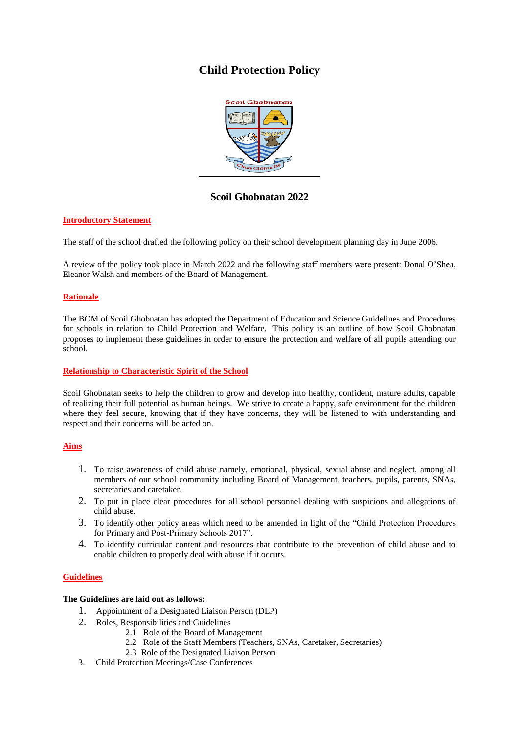# **Child Protection Policy**



**Scoil Ghobnatan 2022**

## **Introductory Statement**

The staff of the school drafted the following policy on their school development planning day in June 2006.

A review of the policy took place in March 2022 and the following staff members were present: Donal O'Shea, Eleanor Walsh and members of the Board of Management.

## **Rationale**

The BOM of Scoil Ghobnatan has adopted the Department of Education and Science Guidelines and Procedures for schools in relation to Child Protection and Welfare. This policy is an outline of how Scoil Ghobnatan proposes to implement these guidelines in order to ensure the protection and welfare of all pupils attending our school.

## **Relationship to Characteristic Spirit of the School**

Scoil Ghobnatan seeks to help the children to grow and develop into healthy, confident, mature adults, capable of realizing their full potential as human beings. We strive to create a happy, safe environment for the children where they feel secure, knowing that if they have concerns, they will be listened to with understanding and respect and their concerns will be acted on.

## **Aims**

- 1. To raise awareness of child abuse namely, emotional, physical, sexual abuse and neglect, among all members of our school community including Board of Management, teachers, pupils, parents, SNAs, secretaries and caretaker.
- 2. To put in place clear procedures for all school personnel dealing with suspicions and allegations of child abuse.
- 3. To identify other policy areas which need to be amended in light of the "Child Protection Procedures for Primary and Post-Primary Schools 2017".
- 4. To identify curricular content and resources that contribute to the prevention of child abuse and to enable children to properly deal with abuse if it occurs.

# **Guidelines**

## **The Guidelines are laid out as follows:**

- 1. Appointment of a Designated Liaison Person (DLP)
- 2. Roles, Responsibilities and Guidelines
	- 2.1 Role of the Board of Management
	- 2.2 Role of the Staff Members (Teachers, SNAs, Caretaker, Secretaries)
	- 2.3 Role of the Designated Liaison Person
- 3. Child Protection Meetings/Case Conferences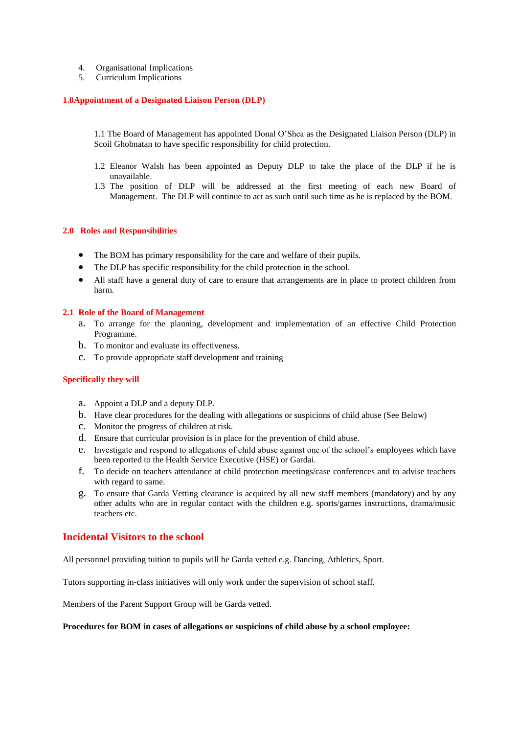- 4. Organisational Implications
- 5. Curriculum Implications

#### **1.0Appointment of a Designated Liaison Person (DLP)**

1.1 The Board of Management has appointed Donal O'Shea as the Designated Liaison Person (DLP) in Scoil Ghobnatan to have specific responsibility for child protection.

- 1.2 Eleanor Walsh has been appointed as Deputy DLP to take the place of the DLP if he is unavailable.
- 1.3 The position of DLP will be addressed at the first meeting of each new Board of Management. The DLP will continue to act as such until such time as he is replaced by the BOM.

#### **2.0 Roles and Responsibilities**

- The BOM has primary responsibility for the care and welfare of their pupils.
- The DLP has specific responsibility for the child protection in the school.
- All staff have a general duty of care to ensure that arrangements are in place to protect children from harm.

#### **2.1 Role of the Board of Management**

- a. To arrange for the planning, development and implementation of an effective Child Protection Programme.
- b. To monitor and evaluate its effectiveness.
- c. To provide appropriate staff development and training

#### **Specifically they will**

- a. Appoint a DLP and a deputy DLP.
- b. Have clear procedures for the dealing with allegations or suspicions of child abuse (See Below)
- c. Monitor the progress of children at risk.
- d. Ensure that curricular provision is in place for the prevention of child abuse.
- e. Investigate and respond to allegations of child abuse against one of the school's employees which have been reported to the Health Service Executive (HSE) or Gardai.
- f. To decide on teachers attendance at child protection meetings/case conferences and to advise teachers with regard to same.
- g. To ensure that Garda Vetting clearance is acquired by all new staff members (mandatory) and by any other adults who are in regular contact with the children e.g. sports/games instructions, drama/music teachers etc.

## **Incidental Visitors to the school**

All personnel providing tuition to pupils will be Garda vetted e.g. Dancing, Athletics, Sport.

Tutors supporting in-class initiatives will only work under the supervision of school staff.

Members of the Parent Support Group will be Garda vetted.

#### **Procedures for BOM in cases of allegations or suspicions of child abuse by a school employee:**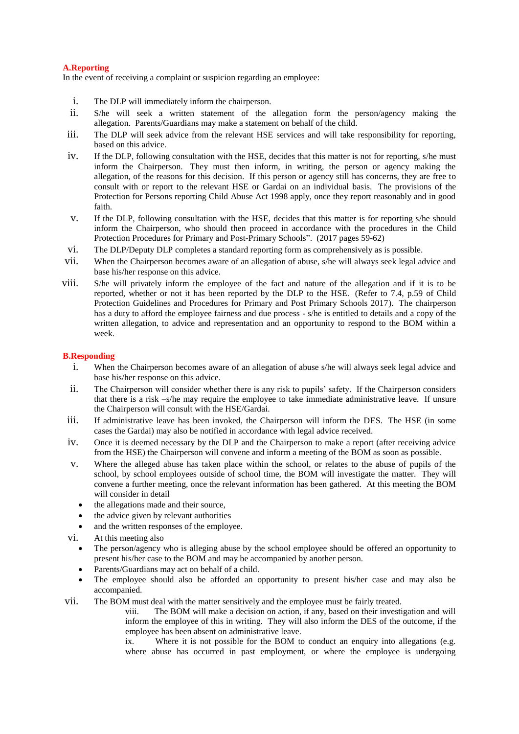## **A.Reporting**

In the event of receiving a complaint or suspicion regarding an employee:

- i. The DLP will immediately inform the chairperson.
- ii. S/he will seek a written statement of the allegation form the person/agency making the allegation. Parents/Guardians may make a statement on behalf of the child.
- iii. The DLP will seek advice from the relevant HSE services and will take responsibility for reporting, based on this advice.
- iv. If the DLP, following consultation with the HSE, decides that this matter is not for reporting, s/he must inform the Chairperson. They must then inform, in writing, the person or agency making the allegation, of the reasons for this decision. If this person or agency still has concerns, they are free to consult with or report to the relevant HSE or Gardai on an individual basis. The provisions of the Protection for Persons reporting Child Abuse Act 1998 apply, once they report reasonably and in good faith.
- v. If the DLP, following consultation with the HSE, decides that this matter is for reporting s/he should inform the Chairperson, who should then proceed in accordance with the procedures in the Child Protection Procedures for Primary and Post-Primary Schools". (2017 pages 59-62)
- vi. The DLP/Deputy DLP completes a standard reporting form as comprehensively as is possible.
- vii. When the Chairperson becomes aware of an allegation of abuse, s/he will always seek legal advice and base his/her response on this advice.
- viii. S/he will privately inform the employee of the fact and nature of the allegation and if it is to be reported, whether or not it has been reported by the DLP to the HSE. (Refer to 7.4, p.59 of Child Protection Guidelines and Procedures for Primary and Post Primary Schools 2017). The chairperson has a duty to afford the employee fairness and due process - s/he is entitled to details and a copy of the written allegation, to advice and representation and an opportunity to respond to the BOM within a week.

## **B.Responding**

- i. When the Chairperson becomes aware of an allegation of abuse s/he will always seek legal advice and base his/her response on this advice.
- ii. The Chairperson will consider whether there is any risk to pupils' safety. If the Chairperson considers that there is a risk –s/he may require the employee to take immediate administrative leave. If unsure the Chairperson will consult with the HSE/Gardai.
- iii. If administrative leave has been invoked, the Chairperson will inform the DES. The HSE (in some cases the Gardai) may also be notified in accordance with legal advice received.
- iv. Once it is deemed necessary by the DLP and the Chairperson to make a report (after receiving advice from the HSE) the Chairperson will convene and inform a meeting of the BOM as soon as possible.
- v. Where the alleged abuse has taken place within the school, or relates to the abuse of pupils of the school, by school employees outside of school time, the BOM will investigate the matter. They will convene a further meeting, once the relevant information has been gathered. At this meeting the BOM will consider in detail
	- the allegations made and their source,
	- the advice given by relevant authorities
	- and the written responses of the employee.
- vi. At this meeting also
	- The person/agency who is alleging abuse by the school employee should be offered an opportunity to present his/her case to the BOM and may be accompanied by another person.
	- Parents/Guardians may act on behalf of a child.
	- The employee should also be afforded an opportunity to present his/her case and may also be accompanied.
- vii. The BOM must deal with the matter sensitively and the employee must be fairly treated.
	- viii. The BOM will make a decision on action, if any, based on their investigation and will inform the employee of this in writing. They will also inform the DES of the outcome, if the employee has been absent on administrative leave.
	- ix. Where it is not possible for the BOM to conduct an enquiry into allegations (e.g. where abuse has occurred in past employment, or where the employee is undergoing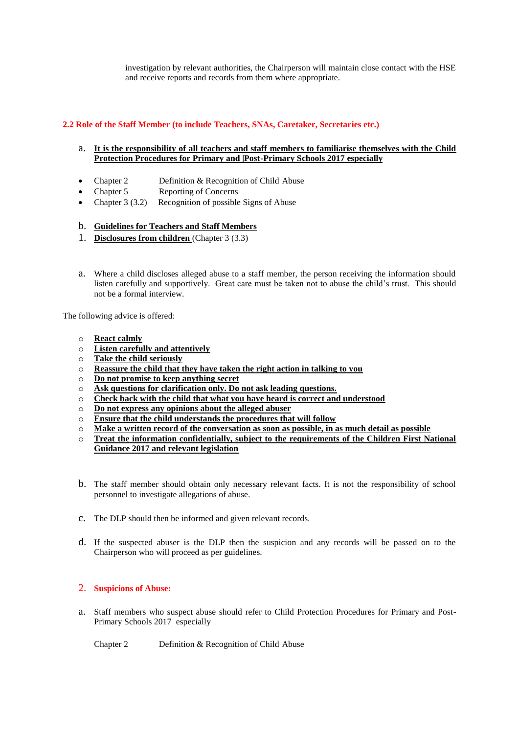investigation by relevant authorities, the Chairperson will maintain close contact with the HSE and receive reports and records from them where appropriate.

## **2.2 Role of the Staff Member (to include Teachers, SNAs, Caretaker, Secretaries etc.)**

- a. **It is the responsibility of all teachers and staff members to familiarise themselves with the Child Protection Procedures for Primary and |Post-Primary Schools 2017 especially**
- Chapter 2 Definition & Recognition of Child Abuse
- Chapter 5 Reporting of Concerns
- Chapter 3 (3.2) Recognition of possible Signs of Abuse

## b. **Guidelines for Teachers and Staff Members**

- 1. **Disclosures from children** (Chapter 3 (3.3)
- a. Where a child discloses alleged abuse to a staff member, the person receiving the information should listen carefully and supportively. Great care must be taken not to abuse the child's trust. This should not be a formal interview.

The following advice is offered:

- o **React calmly**
- o **Listen carefully and attentively**
- o **Take the child seriously**
- o **Reassure the child that they have taken the right action in talking to you**
- o **Do not promise to keep anything secret**
- o **Ask questions for clarification only. Do not ask leading questions.**
- o **Check back with the child that what you have heard is correct and understood**
- o **Do not express any opinions about the alleged abuser**
- o **Ensure that the child understands the procedures that will follow**
- o **Make a written record of the conversation as soon as possible, in as much detail as possible**
- o **Treat the information confidentially, subject to the requirements of the Children First National Guidance 2017 and relevant legislation**
- b. The staff member should obtain only necessary relevant facts. It is not the responsibility of school personnel to investigate allegations of abuse.
- c. The DLP should then be informed and given relevant records.
- d. If the suspected abuser is the DLP then the suspicion and any records will be passed on to the Chairperson who will proceed as per guidelines.

## 2. **Suspicions of Abuse:**

a. Staff members who suspect abuse should refer to Child Protection Procedures for Primary and Post-Primary Schools 2017 especially

Chapter 2 Definition & Recognition of Child Abuse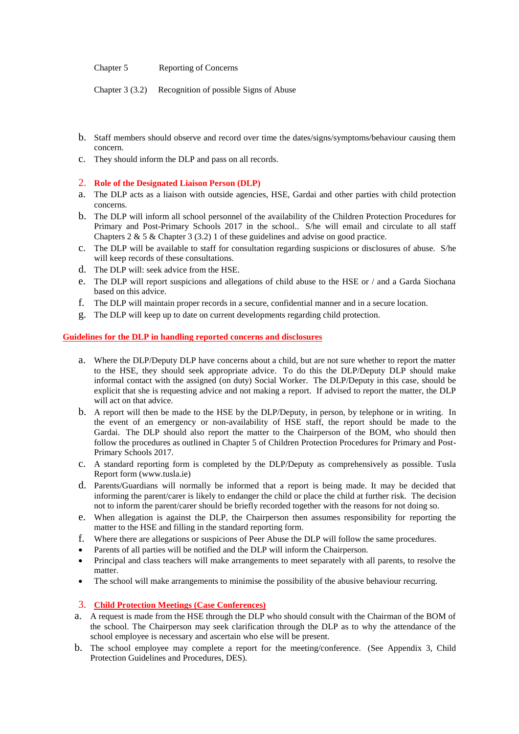Chapter 5 Reporting of Concerns

Chapter 3 (3.2) Recognition of possible Signs of Abuse

- b. Staff members should observe and record over time the dates/signs/symptoms/behaviour causing them concern.
- c. They should inform the DLP and pass on all records.

## 2. **Role of the Designated Liaison Person (DLP)**

- a. The DLP acts as a liaison with outside agencies, HSE, Gardai and other parties with child protection concerns.
- b. The DLP will inform all school personnel of the availability of the Children Protection Procedures for Primary and Post-Primary Schools 2017 in the school.. S/he will email and circulate to all staff Chapters  $2 \& 5 \&$ Chapter  $3 (3.2) 1$  of these guidelines and advise on good practice.
- c. The DLP will be available to staff for consultation regarding suspicions or disclosures of abuse. S/he will keep records of these consultations.
- d. The DLP will: seek advice from the HSE.
- e. The DLP will report suspicions and allegations of child abuse to the HSE or / and a Garda Siochana based on this advice.
- f. The DLP will maintain proper records in a secure, confidential manner and in a secure location.
- g. The DLP will keep up to date on current developments regarding child protection.

## **Guidelines for the DLP in handling reported concerns and disclosures**

- a. Where the DLP/Deputy DLP have concerns about a child, but are not sure whether to report the matter to the HSE, they should seek appropriate advice. To do this the DLP/Deputy DLP should make informal contact with the assigned (on duty) Social Worker. The DLP/Deputy in this case, should be explicit that she is requesting advice and not making a report. If advised to report the matter, the DLP will act on that advice.
- b. A report will then be made to the HSE by the DLP/Deputy, in person, by telephone or in writing. In the event of an emergency or non-availability of HSE staff, the report should be made to the Gardai. The DLP should also report the matter to the Chairperson of the BOM, who should then follow the procedures as outlined in Chapter 5 of Children Protection Procedures for Primary and Post-Primary Schools 2017.
- c. A standard reporting form is completed by the DLP/Deputy as comprehensively as possible. Tusla Report form (www.tusla.ie)
- d. Parents/Guardians will normally be informed that a report is being made. It may be decided that informing the parent/carer is likely to endanger the child or place the child at further risk. The decision not to inform the parent/carer should be briefly recorded together with the reasons for not doing so.
- e. When allegation is against the DLP, the Chairperson then assumes responsibility for reporting the matter to the HSE and filling in the standard reporting form.
- f. Where there are allegations or suspicions of Peer Abuse the DLP will follow the same procedures.
- Parents of all parties will be notified and the DLP will inform the Chairperson.
- Principal and class teachers will make arrangements to meet separately with all parents, to resolve the matter.
- The school will make arrangements to minimise the possibility of the abusive behaviour recurring.

# 3. **Child Protection Meetings (Case Conferences)**

- a. A request is made from the HSE through the DLP who should consult with the Chairman of the BOM of the school. The Chairperson may seek clarification through the DLP as to why the attendance of the school employee is necessary and ascertain who else will be present.
- b. The school employee may complete a report for the meeting/conference. (See Appendix 3, Child Protection Guidelines and Procedures, DES).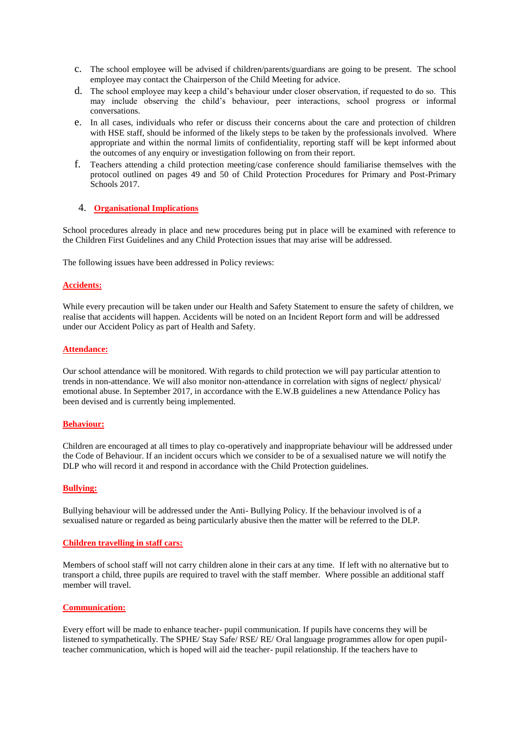- c. The school employee will be advised if children/parents/guardians are going to be present. The school employee may contact the Chairperson of the Child Meeting for advice.
- d. The school employee may keep a child's behaviour under closer observation, if requested to do so. This may include observing the child's behaviour, peer interactions, school progress or informal conversations.
- e. In all cases, individuals who refer or discuss their concerns about the care and protection of children with HSE staff, should be informed of the likely steps to be taken by the professionals involved. Where appropriate and within the normal limits of confidentiality, reporting staff will be kept informed about the outcomes of any enquiry or investigation following on from their report.
- f. Teachers attending a child protection meeting/case conference should familiarise themselves with the protocol outlined on pages 49 and 50 of Child Protection Procedures for Primary and Post-Primary Schools 2017.

## 4. **Organisational Implications**

School procedures already in place and new procedures being put in place will be examined with reference to the Children First Guidelines and any Child Protection issues that may arise will be addressed.

The following issues have been addressed in Policy reviews:

## **Accidents:**

While every precaution will be taken under our Health and Safety Statement to ensure the safety of children, we realise that accidents will happen. Accidents will be noted on an Incident Report form and will be addressed under our Accident Policy as part of Health and Safety.

#### **Attendance:**

Our school attendance will be monitored. With regards to child protection we will pay particular attention to trends in non-attendance. We will also monitor non-attendance in correlation with signs of neglect/ physical/ emotional abuse. In September 2017, in accordance with the E.W.B guidelines a new Attendance Policy has been devised and is currently being implemented.

## **Behaviour:**

Children are encouraged at all times to play co-operatively and inappropriate behaviour will be addressed under the Code of Behaviour. If an incident occurs which we consider to be of a sexualised nature we will notify the DLP who will record it and respond in accordance with the Child Protection guidelines.

#### **Bullying:**

Bullying behaviour will be addressed under the Anti- Bullying Policy. If the behaviour involved is of a sexualised nature or regarded as being particularly abusive then the matter will be referred to the DLP.

#### **Children travelling in staff cars:**

Members of school staff will not carry children alone in their cars at any time. If left with no alternative but to transport a child, three pupils are required to travel with the staff member. Where possible an additional staff member will travel.

## **Communication:**

Every effort will be made to enhance teacher- pupil communication. If pupils have concerns they will be listened to sympathetically. The SPHE/ Stay Safe/ RSE/ RE/ Oral language programmes allow for open pupilteacher communication, which is hoped will aid the teacher- pupil relationship. If the teachers have to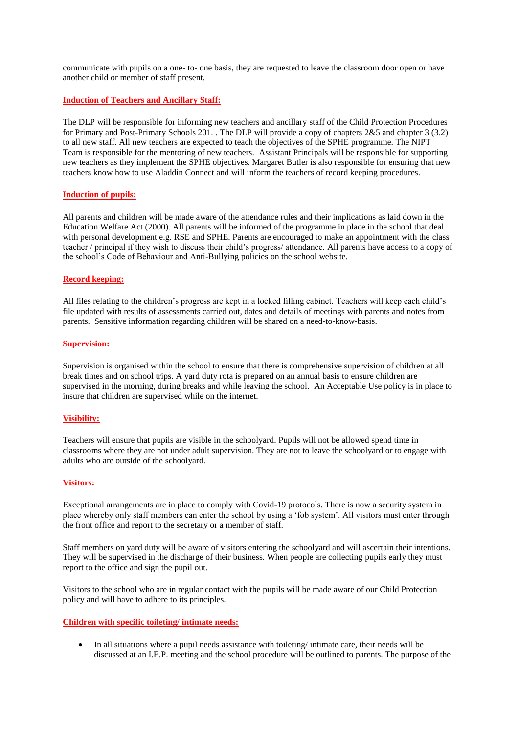communicate with pupils on a one- to- one basis, they are requested to leave the classroom door open or have another child or member of staff present.

#### **Induction of Teachers and Ancillary Staff:**

The DLP will be responsible for informing new teachers and ancillary staff of the Child Protection Procedures for Primary and Post-Primary Schools 201. . The DLP will provide a copy of chapters 2&5 and chapter 3 (3.2) to all new staff. All new teachers are expected to teach the objectives of the SPHE programme. The NIPT Team is responsible for the mentoring of new teachers. Assistant Principals will be responsible for supporting new teachers as they implement the SPHE objectives. Margaret Butler is also responsible for ensuring that new teachers know how to use Aladdin Connect and will inform the teachers of record keeping procedures.

#### **Induction of pupils:**

All parents and children will be made aware of the attendance rules and their implications as laid down in the Education Welfare Act (2000). All parents will be informed of the programme in place in the school that deal with personal development e.g. RSE and SPHE. Parents are encouraged to make an appointment with the class teacher / principal if they wish to discuss their child's progress/ attendance. All parents have access to a copy of the school's Code of Behaviour and Anti-Bullying policies on the school website.

#### **Record keeping:**

All files relating to the children's progress are kept in a locked filling cabinet. Teachers will keep each child's file updated with results of assessments carried out, dates and details of meetings with parents and notes from parents. Sensitive information regarding children will be shared on a need-to-know-basis.

#### **Supervision:**

Supervision is organised within the school to ensure that there is comprehensive supervision of children at all break times and on school trips. A yard duty rota is prepared on an annual basis to ensure children are supervised in the morning, during breaks and while leaving the school. An Acceptable Use policy is in place to insure that children are supervised while on the internet.

#### **Visibility:**

Teachers will ensure that pupils are visible in the schoolyard. Pupils will not be allowed spend time in classrooms where they are not under adult supervision. They are not to leave the schoolyard or to engage with adults who are outside of the schoolyard.

#### **Visitors:**

Exceptional arrangements are in place to comply with Covid-19 protocols. There is now a security system in place whereby only staff members can enter the school by using a 'fob system'. All visitors must enter through the front office and report to the secretary or a member of staff.

Staff members on yard duty will be aware of visitors entering the schoolyard and will ascertain their intentions. They will be supervised in the discharge of their business. When people are collecting pupils early they must report to the office and sign the pupil out.

Visitors to the school who are in regular contact with the pupils will be made aware of our Child Protection policy and will have to adhere to its principles.

#### **Children with specific toileting/ intimate needs:**

 In all situations where a pupil needs assistance with toileting/ intimate care, their needs will be discussed at an I.E.P. meeting and the school procedure will be outlined to parents. The purpose of the